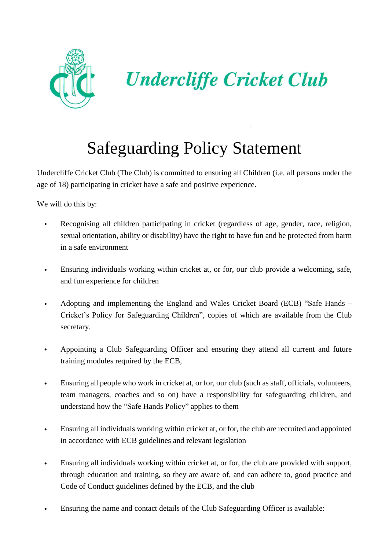

**Undercliffe Cricket Club** 

## Safeguarding Policy Statement

Undercliffe Cricket Club (The Club) is committed to ensuring all Children (i.e. all persons under the age of 18) participating in cricket have a safe and positive experience.

We will do this by:

- Recognising all children participating in cricket (regardless of age, gender, race, religion, sexual orientation, ability or disability) have the right to have fun and be protected from harm in a safe environment
- Ensuring individuals working within cricket at, or for, our club provide a welcoming, safe, and fun experience for children
- Adopting and implementing the England and Wales Cricket Board (ECB) "Safe Hands Cricket's Policy for Safeguarding Children", copies of which are available from the Club secretary.
- Appointing a Club Safeguarding Officer and ensuring they attend all current and future training modules required by the ECB,
- Ensuring all people who work in cricket at, or for, our club (such as staff, officials, volunteers, team managers, coaches and so on) have a responsibility for safeguarding children, and understand how the "Safe Hands Policy" applies to them
- Ensuring all individuals working within cricket at, or for, the club are recruited and appointed in accordance with ECB guidelines and relevant legislation
- Ensuring all individuals working within cricket at, or for, the club are provided with support, through education and training, so they are aware of, and can adhere to, good practice and Code of Conduct guidelines defined by the ECB, and the club
- Ensuring the name and contact details of the Club Safeguarding Officer is available: